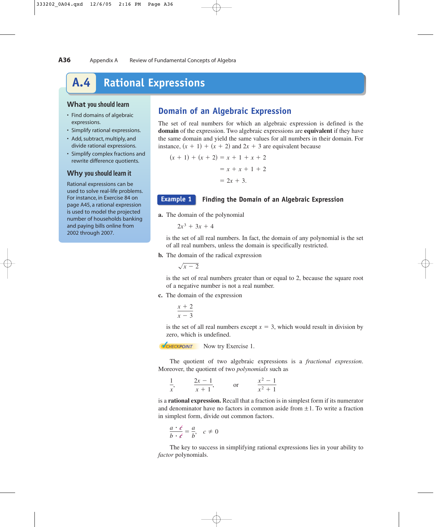# **A.4 Rational Expressions**

#### **What you should learn**

- Find domains of algebraic expressions.
- Simplify rational expressions.
- Add, subtract, multiply, and divide rational expressions.
- Simplify complex fractions and rewrite difference quotients.

#### **Why you should learn it**

Rational expressions can be used to solve real-life problems. For instance, in Exercise 84 on page A45, a rational expression is used to model the projected number of households banking and paying bills online from 2002 through 2007.

## **Domain of an Algebraic Expression**

The set of real numbers for which an algebraic expression is defined is the **domain** of the expression. Two algebraic expressions are **equivalent** if they have the same domain and yield the same values for all numbers in their domain. For instance,  $(x + 1) + (x + 2)$  and  $2x + 3$  are equivalent because

 $= 2x + 3.$  $= x + x + 1 + 2$  $(x + 1) + (x + 2) = x + 1 + x + 2$ 

#### **Example 1**

### **Finding the Domain of an Algebraic Expression**

**a.** The domain of the polynomial

$$
2x^3+3x+4
$$

is the set of all real numbers. In fact, the domain of any polynomial is the set of all real numbers, unless the domain is specifically restricted.

**b.** The domain of the radical expression

 $\sqrt{x-2}$ 

is the set of real numbers greater than or equal to 2, because the square root of a negative number is not a real number.

#### **c.** The domain of the expression

 $x + 2$  $x - 3$ 

is the set of all real numbers except  $x = 3$ , which would result in division by zero, which is undefined.

**V**CHECKPOINT Now try Exercise 1.

The quotient of two algebraic expressions is a *fractional expression*. Moreover, the quotient of two *polynomials* such as

| $\gamma$ $-1$ | $\sim 2$<br>$-1$ |
|---------------|------------------|
| $x + 1$       | $x^2 + 1$        |

is a **rational expression.** Recall that a fraction is in simplest form if its numerator and denominator have no factors in common aside from  $\pm 1$ . To write a fraction in simplest form, divide out common factors.

$$
\frac{a \cdot \ell}{b \cdot \ell} = \frac{a}{b}, \quad c \neq 0
$$

The key to success in simplifying rational expressions lies in your ability to *factor* polynomials.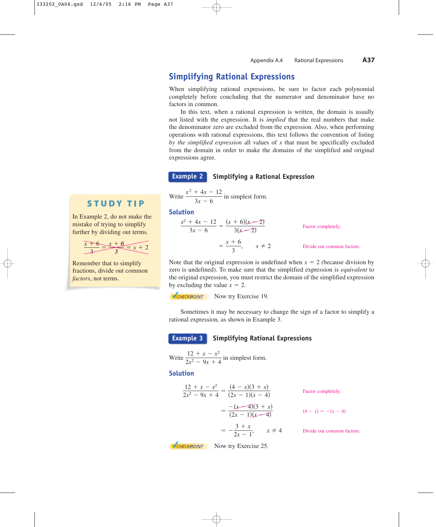## **Simplifying Rational Expressions**

When simplifying rational expressions, be sure to factor each polynomial completely before concluding that the numerator and denominator have no factors in common.

In this text, when a rational expression is written, the domain is usually not listed with the expression. It is *implied* that the real numbers that make the denominator zero are excluded from the expression. Also, when performing operations with rational expressions, this text follows the convention of listing by the simplified expression all values of  $x$  that must be specifically excluded from the domain in order to make the domains of the simplified and original expressions agree.

#### **Simplifying a Rational Expression Example 2**

Write  $\frac{x^2 + 4x - 12}{x^2 + 6}$  in simplest form.  $3x - 6$ 

### **Solution**

$$
\frac{x^2 + 4x - 12}{3x - 6} = \frac{(x + 6)(x - 2)}{3(x - 2)}
$$
 Factor completely.  
=  $\frac{x + 6}{3}$ ,  $x \neq 2$  Divide out common factors.

Note that the original expression is undefined when  $x = 2$  (because division by zero is undefined). To make sure that the simplified expression is *equivalent* to the original expression, you must restrict the domain of the simplified expression by excluding the value  $x = 2$ .

**VCHECKPOINT** Now try Exercise 19.

Sometimes it may be necessary to change the sign of a factor to simplify a rational expression, as shown in Example 3.

#### **Simplifying Rational Expressions Example 3**

Write 
$$
\frac{12 + x - x^2}{2x^2 - 9x + 4}
$$
 in simplest form.

#### **Solution**

$$
\frac{12 + x - x^2}{2x^2 - 9x + 4} = \frac{(4 - x)(3 + x)}{(2x - 1)(x - 4)}
$$
  
=  $\frac{-(x - 4)(3 + x)}{(2x - 1)(x - 4)}$   
=  $\frac{-3 + x}{2x - 1}$ ,  $x \neq 4$  Divide out common factors.

In Example 2, do not make the mistake of trying to simplify further by dividing out terms.

$$
\frac{x+6}{3} = \frac{x+6}{3} = x+2
$$

Remember that to simplify fractions, divide out common *factors*, not terms.

**VCHECKPOINT** Now try Exercise 25.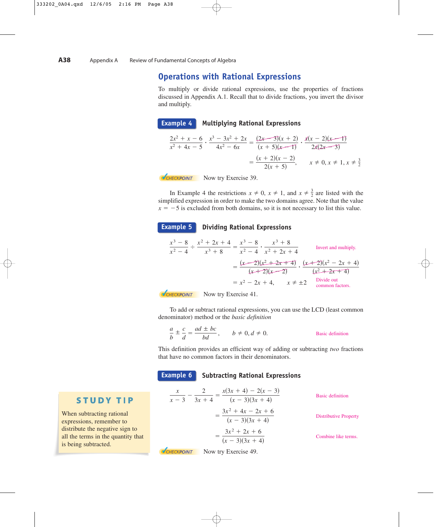## **Operations with Rational Expressions**

To multiply or divide rational expressions, use the properties of fractions discussed in Appendix A.1. Recall that to divide fractions, you invert the divisor and multiply.

**Example 4**

#### **Multiplying Rational Expressions**

$$
\frac{2x^2 + x - 6}{x^2 + 4x - 5} \cdot \frac{x^3 - 3x^2 + 2x}{4x^2 - 6x} = \frac{(2x - 3)(x + 2)}{(x + 5)(x - 1)} \cdot \frac{x(x - 2)(x - 1)}{2x(2x - 3)}
$$

$$
= \frac{(x + 2)(x - 2)}{2(x + 5)}, \quad x \neq 0, x \neq 1, x \neq \frac{3}{2}
$$

**V**CHECKPOINT Now try Exercise 39.

In Example 4 the restrictions  $x \neq 0$ ,  $x \neq 1$ , and  $x \neq \frac{3}{2}$  are listed with the simplified expression in order to make the two domains agree. Note that the value  $x = -5$  is excluded from both domains, so it is not necessary to list this value.

#### **Dividing Rational Expressions Example 5**

$$
\frac{x^3 - 8}{x^2 - 4} \div \frac{x^2 + 2x + 4}{x^3 + 8} = \frac{x^3 - 8}{x^2 - 4} \cdot \frac{x^3 + 8}{x^2 + 2x + 4}
$$
  
Invert and multiply.  

$$
= \frac{(x - 2)(x^2 + 2x + 4)}{(x + 2)(x - 2)} \cdot \frac{(x + 2)(x^2 - 2x + 4)}{(x^2 + 2x + 4)}
$$

$$
= x^2 - 2x + 4, \qquad x \neq \pm 2
$$
Divide out  
common factors.

**V**CHECKPOINT Now try Exercise 41.

**V**CHECKPOINT Now try Exercise 49.

To add or subtract rational expressions, you can use the LCD (least common denominator) method or the *basic definition*

$$
\frac{a}{b} \pm \frac{c}{d} = \frac{ad \pm bc}{bd}, \qquad b \neq 0, d \neq 0.
$$
 Basic definition

This definition provides an efficient way of adding or subtracting *two* fractions that have no common factors in their denominators.

**Example 6**

#### **Subtracting Rational Expressions**

| $x(3x + 4) - 2(x - 3)$<br>$\mathcal{X}$<br>$(x - 3)(3x + 4)$<br>$x - 3$ $3x + 4$ | <b>Basic definition</b>      |
|----------------------------------------------------------------------------------|------------------------------|
| $3x^2 + 4x - 2x + 6$<br>$(x - 3)(3x + 4)$                                        | <b>Distributive Property</b> |
| $3x^2 + 2x + 6$<br>$(x - 3)(3x + 4)$                                             | Combine like terms.          |

**STUDY TIP** 

When subtracting rational expressions, remember to distribute the negative sign to all the terms in the quantity that is being subtracted.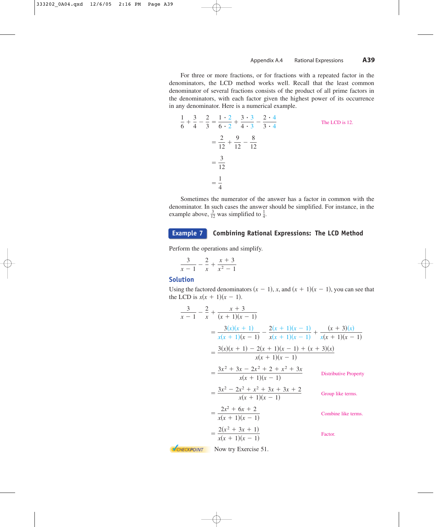For three or more fractions, or for fractions with a repeated factor in the denominators, the LCD method works well. Recall that the least common denominator of several fractions consists of the product of all prime factors in the denominators, with each factor given the highest power of its occurrence in any denominator. Here is a numerical example.

$$
\frac{1}{6} + \frac{3}{4} - \frac{2}{3} = \frac{1 \cdot 2}{6 \cdot 2} + \frac{3 \cdot 3}{4 \cdot 3} - \frac{2 \cdot 4}{3 \cdot 4}
$$
  
=  $\frac{2}{12} + \frac{9}{12} - \frac{8}{12}$   
=  $\frac{3}{12}$   
=  $\frac{1}{4}$ 

Sometimes the numerator of the answer has a factor in common with the denominator. In such cases the answer should be simplified. For instance, in the example above,  $\frac{3}{12}$  was simplified to  $\frac{1}{4}$ .

#### **Combining Rational Expressions: The LCD Method Example 7**

Perform the operations and simplify.

$$
\frac{3}{x-1} - \frac{2}{x} + \frac{x+3}{x^2-1}
$$

#### **Solution**

Using the factored denominators  $(x - 1)$ , *x*, and  $(x + 1)(x - 1)$ , you can see that the LCD is  $x(x + 1)(x - 1)$ .

$$
\frac{3}{x-1} - \frac{2}{x} + \frac{x+3}{(x+1)(x-1)}
$$
\n
$$
= \frac{3(x)(x+1)}{x(x+1)(x-1)} - \frac{2(x+1)(x-1)}{x(x+1)(x-1)} + \frac{(x+3)(x)}{x(x+1)(x-1)}
$$
\n
$$
= \frac{3(x)(x+1) - 2(x+1)(x-1) + (x+3)(x)}{x(x+1)(x-1)}
$$
\n
$$
= \frac{3x^2 + 3x - 2x^2 + 2 + x^2 + 3x}{x(x+1)(x-1)}
$$
\n
$$
= \frac{3x^2 - 2x^2 + x^2 + 3x + 3x + 2}{x(x+1)(x-1)}
$$
\n
$$
= \frac{2x^2 + 6x + 2}{x(x+1)(x-1)}
$$
\n
$$
= \frac{2(x^2 + 3x + 1)}{x(x+1)(x-1)}
$$
\n
$$
= \frac{2(x^2 + 3x + 1)}{x(x+1)(x-1)}
$$
\n
$$
= \frac{2(x+1)(x-1)}{x(x+1)(x-1)}
$$
\n
$$
= \frac{2(x+1)(x-1)}{x(x+1)(x-1)}
$$
\n
$$
= \frac{2(x+1)(x-1)}{x(x+1)(x-1)}
$$
\n
$$
= \frac{2(x+1)(x-1)}{x(x+1)(x-1)}
$$
\n
$$
= \frac{2(x+1)(x-1)}{x(x+1)(x-1)}
$$
\n
$$
= \frac{2(x+1)(x-1)}{x(x+1)(x-1)}
$$
\n
$$
= \frac{2(x+1)(x-1)}{x(x+1)(x-1)}
$$
\n
$$
= \frac{2(x+1)(x-1)}{x(x+1)(x-1)}
$$
\n
$$
= \frac{2(x+1)(x-1)}{x(x+1)(x-1)}
$$
\n
$$
= \frac{2x^2 + 3x + 2}{x(x+1)(x-1)}
$$
\n
$$
= \frac{2(x+1)(x-1)}{x(x+1)(x-1)}
$$
\n
$$
= \frac{2(x+1)(x-1)}{x(x+1)(x-1)}
$$
\n
$$
= \frac{2(x+1)(x
$$

 $V$ CHECKPOINT Now try Exercise 51.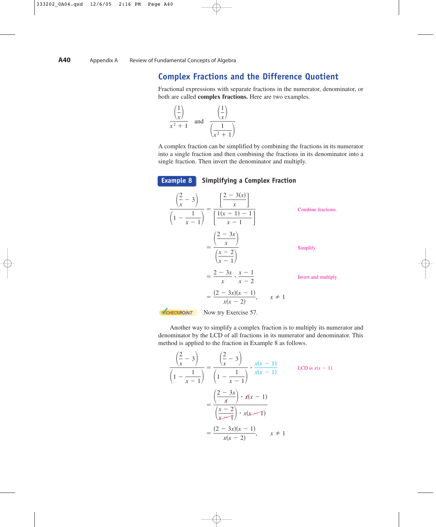## **Complex Fractions and the Difference Quotient**

Fractional expressions with separate fractions in the numerator, denominator, or both are called **complex fractions.** Here are two examples.

$$
\frac{\left(\frac{1}{x}\right)}{x^2+1} \quad \text{and} \quad \frac{\left(\frac{1}{x}\right)}{\left(\frac{1}{x^2+1}\right)}
$$

A complex fraction can be simplified by combining the fractions in its numerator into a single fraction and then combining the fractions in its denominator into a single fraction. Then invert the denominator and multiply.



Another way to simplify a complex fraction is to multiply its numerator and denominator by the LCD of all fractions in its numerator and denominator. This method is applied to the fraction in Example 8 as follows.

$$
\frac{\left(\frac{2}{x} - 3\right)}{\left(1 - \frac{1}{x - 1}\right)} = \frac{\left(\frac{2}{x} - 3\right)}{\left(1 - \frac{1}{x - 1}\right)} \cdot \frac{x(x - 1)}{x(x - 1)}
$$
\n
$$
= \frac{\left(\frac{2 - 3x}{x}\right) \cdot x(x - 1)}{\left(\frac{x - 2}{x - 1}\right) \cdot x(x - 1)}
$$
\n
$$
= \frac{(2 - 3x)(x - 1)}{x(x - 2)}, \quad x \neq 1
$$
\n1. (2.1)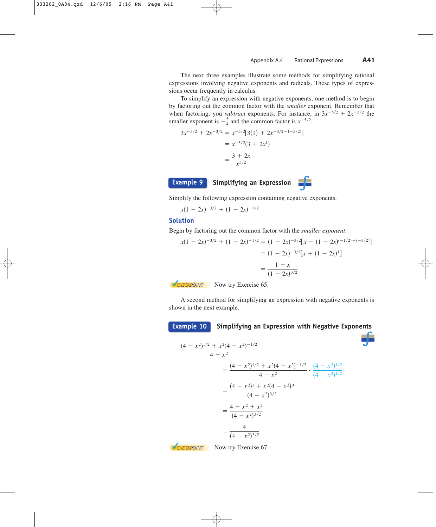The next three examples illustrate some methods for simplifying rational expressions involving negative exponents and radicals. These types of expressions occur frequently in calculus.

To simplify an expression with negative exponents, one method is to begin by factoring out the common factor with the *smaller* exponent. Remember that when factoring, you *subtract* exponents. For instance, in  $3x^{-5/2} + 2x^{-3/2}$  the smaller exponent is  $-\frac{5}{2}$  and the common factor is  $x^{-5/2}$ .

$$
3x^{-5/2} + 2x^{-3/2} = x^{-5/2} [3(1) + 2x^{-3/2 - (-5/2)}]
$$

$$
= x^{-5/2} (3 + 2x^1)
$$

$$
= \frac{3 + 2x}{x^{5/2}}
$$

**Simplifying an Expression Example 9**



Simplify the following expression containing negative exponents.

 $x(1 - 2x)^{-3/2} + (1 - 2x)^{-1/2}$ 

### **Solution**

Begin by factoring out the common factor with the *smaller exponent*.

$$
x(1 - 2x)^{-3/2} + (1 - 2x)^{-1/2} = (1 - 2x)^{-3/2} [x + (1 - 2x)^{(-1/2) - (-3/2)}]
$$

$$
= (1 - 2x)^{-3/2} [x + (1 - 2x)^{1}]
$$

$$
= \frac{1 - x}{(1 - 2x)^{3/2}}
$$

**VCHECKPOINT** Now try Exercise 65.

A second method for simplifying an expression with negative exponents is shown in the next example.

**Simplifying an Expression with Negative Exponents Example 10**

$$
\frac{(4-x^2)^{1/2} + x^2(4-x^2)^{-1/2}}{4-x^2}
$$
\n
$$
= \frac{(4-x^2)^{1/2} + x^2(4-x^2)^{-1/2}}{4-x^2} \cdot \frac{(4-x^2)^{1/2}}{(4-x^2)^{1/2}}
$$
\n
$$
= \frac{(4-x^2)^1 + x^2(4-x^2)^0}{(4-x^2)^{3/2}}
$$
\n
$$
= \frac{4-x^2+x^2}{(4-x^2)^{3/2}}
$$
\n
$$
= \frac{4}{(4-x^2)^{3/2}}
$$

**V**CHECKPOINT Now try Exercise 67.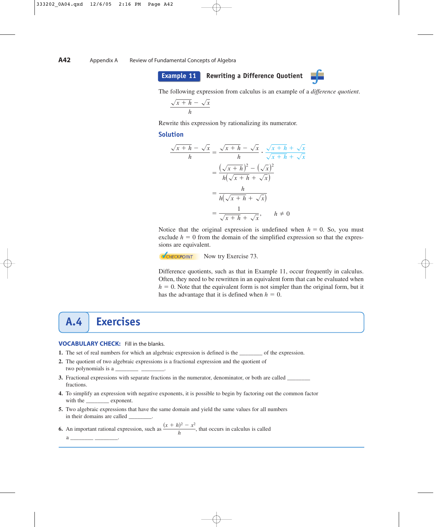





The following expression from calculus is an example of a *difference quotient*.

$$
\frac{\sqrt{x+h} - \sqrt{x}}{h}
$$

Rewrite this expression by rationalizing its numerator.

#### **Solution**

$$
\frac{\sqrt{x+h} - \sqrt{x}}{h} = \frac{\sqrt{x+h} - \sqrt{x}}{h} \cdot \frac{\sqrt{x+h} + \sqrt{x}}{\sqrt{x+h} + \sqrt{x}}
$$

$$
= \frac{(\sqrt{x+h})^2 - (\sqrt{x})^2}{h(\sqrt{x+h} + \sqrt{x})}
$$

$$
= \frac{h}{h(\sqrt{x+h} + \sqrt{x})}
$$

$$
= \frac{1}{\sqrt{x+h} + \sqrt{x}}, \qquad h \neq 0
$$

Notice that the original expression is undefined when  $h = 0$ . So, you must exclude  $h = 0$  from the domain of the simplified expression so that the expressions are equivalent.

**VCHECKPOINT** Now try Exercise 73.

Difference quotients, such as that in Example 11, occur frequently in calculus. Often, they need to be rewritten in an equivalent form that can be evaluated when  $h = 0$ . Note that the equivalent form is not simpler than the original form, but it has the advantage that it is defined when  $h = 0$ .

# **A.4 Exercises**

#### **VOCABULARY CHECK:** Fill in the blanks.

- **1.** The set of real numbers for which an algebraic expression is defined is the \_\_\_\_\_\_\_\_ of the expression.
- **2.** The quotient of two algebraic expressions is a fractional expression and the quotient of two polynomials is a
- **3.** Fractional expressions with separate fractions in the numerator, denominator, or both are called \_ fractions.
- **4.** To simplify an expression with negative exponents, it is possible to begin by factoring out the common factor with the exponent.
- **5.** Two algebraic expressions that have the same domain and yield the same values for all numbers in their domains are called

**6.** An important rational expression, such as  $\frac{(x+h)^2 - x^2}{h}$ , that occurs in calculus is called a \_\_\_\_\_\_\_\_\_\_\_\_ \_\_\_\_\_\_\_\_\_\_\_\_\_\_.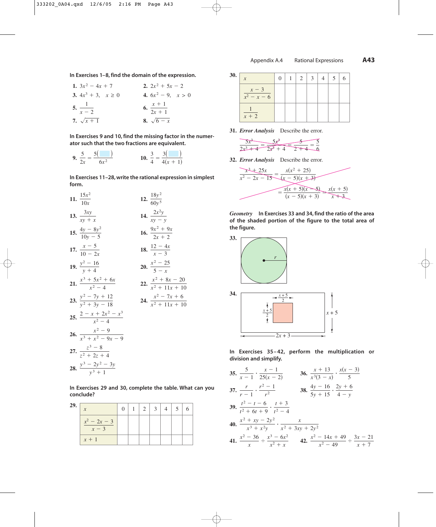**In Exercises 1–8, find the domain of the expression.**

1.  $3x^2 - 4x + 7$ **3.**  $4x^3 + 3$ ,  $x \ge 0$ **5.**  $\frac{1}{\sqrt{1-x^2}}$  **6. 7.**  $\sqrt{x+1}$ 8.  $\sqrt{6-x}$  $x + 1$  $2x + 1$  $x - 2$ 4.  $6x^2 - 9$ ,  $x > 0$ 2.  $2x^2 + 5x - 2$ 

**In Exercises 9 and 10, find the missing factor in the numerator such that the two fractions are equivalent.**

9. 
$$
\frac{5}{2x} = \frac{5(-1)}{6x^2}
$$
 10.  $\frac{3}{4} = \frac{3(-1)}{4(x+1)}$ 

**In Exercises 11–28, write the rational expression in simplest form.**

11. 
$$
\frac{15x^2}{10x}
$$
  
\n12.  $\frac{18y^2}{60y^5}$   
\n13.  $\frac{3xy}{xy + x}$   
\n14.  $\frac{2x^2y}{xy - y}$   
\n15.  $\frac{4y - 8y^2}{10y - 5}$   
\n16.  $\frac{9x^2 + 9x}{2x + 2}$   
\n17.  $\frac{x - 5}{10 - 2x}$   
\n18.  $\frac{12 - 4x}{x - 3}$   
\n19.  $\frac{y^2 - 16}{y + 4}$   
\n20.  $\frac{x^2 - 25}{5 - x}$   
\n21.  $\frac{x^3 + 5x^2 + 6x}{x^2 - 4}$   
\n22.  $\frac{x^2 + 8x - 20}{x^2 + 11x + 10}$   
\n23.  $\frac{y^2 - 7y + 12}{y^2 + 3y - 18}$   
\n24.  $\frac{x^2 - 7x + 6}{x^2 + 11x + 10}$   
\n25.  $\frac{2 - x + 2x^2 - x^3}{x^2 - 4}$   
\n26.  $\frac{x^2 - 9}{x^3 + x^2 - 9x - 9}$   
\n27.  $\frac{z^3 - 8}{z^2 + 2z + 4}$   
\n28.  $\frac{y^3 - 2y^2 - 3y}{y^3 + 1}$ 

**In Exercises 29 and 30, complete the table. What can you conclude?**

| 29. | $\mathbf{x}$            |  | $1 \mid 2 \mid 3 \mid 4 \mid 5$ |  |  |
|-----|-------------------------|--|---------------------------------|--|--|
|     | $x^2 - 2x - 3$<br>$x-3$ |  |                                 |  |  |
|     | $x + 1$                 |  |                                 |  |  |

| <b>30.</b> | $\mathbf{x}$           | $\mathbf{1}$ |  | $\overline{4}$ | 5 <sup>o</sup> | 6 |
|------------|------------------------|--------------|--|----------------|----------------|---|
|            | $x-3$<br>$x^2 - x - 6$ |              |  |                |                |   |
|            | $\overline{x+2}$       |              |  |                |                |   |

**31.** *Error Analysis* Describe the error.

|               | ∽                                                                                                                                                                                                                                                                                                                   |   |
|---------------|---------------------------------------------------------------------------------------------------------------------------------------------------------------------------------------------------------------------------------------------------------------------------------------------------------------------|---|
| . 2<br>سلدقته | $\frac{1}{2}$ $\frac{1}{2}$ $\frac{1}{2}$ $\frac{1}{2}$ $\frac{1}{2}$ $\frac{1}{2}$ $\frac{1}{2}$ $\frac{1}{2}$ $\frac{1}{2}$ $\frac{1}{2}$ $\frac{1}{2}$ $\frac{1}{2}$ $\frac{1}{2}$ $\frac{1}{2}$ $\frac{1}{2}$ $\frac{1}{2}$ $\frac{1}{2}$ $\frac{1}{2}$ $\frac{1}{2}$ $\frac{1}{2}$ $\frac{1}{2}$ $\frac{1}{2}$ | ∽ |

**32.** *Error Analysis* Describe the error.

$$
\frac{x^3 + 25x}{x^2 - 2x - 15} = \frac{x(x^2 + 25)}{(x - 5)(x + 3)}
$$

$$
= \frac{x(x + 5)(x - 5)}{(x - 5)(x + 3)} = \frac{x(x + 5)}{x + 3}
$$

*Geometry* **In Exercises 33 and 34, find the ratio of the area of the shaded portion of the figure to the total area of the figure.**



**In Exercises 35– 42, perform the multiplication or division and simplify.**

**35.** 
$$
\frac{5}{x-1} \cdot \frac{x-1}{25(x-2)}
$$
 **36.**  $\frac{x+13}{x^3(3-x)} \cdot \frac{x(x-3)}{5}$   
\n**37.**  $\frac{r}{r-1} \cdot \frac{r^2-1}{r^2}$  **38.**  $\frac{4y-16}{5y+15} \cdot \frac{2y+6}{4-y}$   
\n**39.**  $\frac{t^2-t-6}{t^2+6t+9} \cdot \frac{t+3}{t^2-4}$   
\n**40.**  $\frac{x^2+xy-2y^2}{x^3+x^2y} \cdot \frac{x}{x^2+3xy+2y^2}$   
\n**41.**  $\frac{x^2-36}{x} \div \frac{x^3-6x^2}{x^2+x}$  **42.**  $\frac{x^2-14x+49}{x^2-49} \div \frac{3x-21}{x+7}$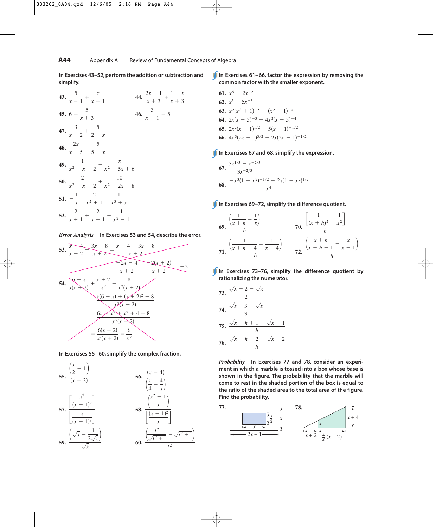**In Exercises 43–52, perform the addition or subtraction and simplify.**

43. 
$$
\frac{5}{x-1} + \frac{x}{x-1}
$$
  
\n44.  $\frac{2x-1}{x+3} + \frac{1-x}{x+3}$   
\n45.  $6 - \frac{5}{x+3}$   
\n46.  $\frac{3}{x-1} - 5$   
\n47.  $\frac{3}{x-2} + \frac{5}{2-x}$   
\n48.  $\frac{2x}{x-5} - \frac{5}{5-x}$   
\n49.  $\frac{1}{x^2 - x - 2} - \frac{x}{x^2 - 5x + 6}$   
\n50.  $\frac{2}{x^2 - x - 2} + \frac{10}{x^2 + 2x - 8}$   
\n51.  $-\frac{1}{x} + \frac{2}{x^2 + 1} + \frac{1}{x^3 + x}$   
\n52.  $\frac{2}{x+1} + \frac{2}{x-1} + \frac{1}{x^2 - 1}$ 

*Error Analysis* **In Exercises 53 and 54, describe the error.**



**In Exercises 55– 60, simplify the complex fraction.**



**In Exercises 61– 66, factor the expression by removing the common factor with the smaller exponent.**

**61.** 
$$
x^5 - 2x^{-2}
$$
  
\n**62.**  $x^5 - 5x^{-3}$   
\n**63.**  $x^2(x^2 + 1)^{-5} - (x^2 + 1)^{-4}$   
\n**64.**  $2x(x - 5)^{-3} - 4x^2(x - 5)^{-4}$   
\n**65.**  $2x^2(x - 1)^{1/2} - 5(x - 1)^{-1/2}$   
\n**66.**  $4x^3(2x - 1)^{3/2} - 2x(2x - 1)^{-1/2}$ 

**In Exercises 67 and 68, simplify the expression.**

67. 
$$
\frac{3x^{1/3} - x^{-2/3}}{3x^{-2/3}}
$$
  
68. 
$$
\frac{-x^3(1-x^2)^{-1/2} - 2x(1-x^2)^{1/2}}{x^4}
$$

**In Exercises 69-72, simplify the difference quotient.** 

69. 
$$
\frac{\left(\frac{1}{x+h} - \frac{1}{x}\right)}{h}
$$
 70. 
$$
\frac{\left[\frac{1}{(x+h)^2} - \frac{1}{x^2}\right]}{h}
$$
  
71. 
$$
\frac{\left(\frac{1}{x+h-4} - \frac{1}{x-4}\right)}{h}
$$
 72. 
$$
\frac{\left(\frac{x+h}{x+h+1} - \frac{x}{x+1}\right)}{h}
$$

**In Exercises 73–76, simplify the difference quotient by rationalizing the numerator.**

73. 
$$
\frac{\sqrt{x+2} - \sqrt{x}}{2}
$$
  
74. 
$$
\frac{\sqrt{z-3} - \sqrt{z}}{3}
$$
  
75. 
$$
\frac{\sqrt{x+h+1} - \sqrt{x+1}}{h}
$$
  
76. 
$$
\frac{\sqrt{x+h-2} - \sqrt{x-2}}{h}
$$

*Probability* **In Exercises 77 and 78, consider an experiment in which a marble is tossed into a box whose base is shown in the figure. The probability that the marble will come to rest in the shaded portion of the box is equal to the ratio of the shaded area to the total area of the figure. Find the probability.**